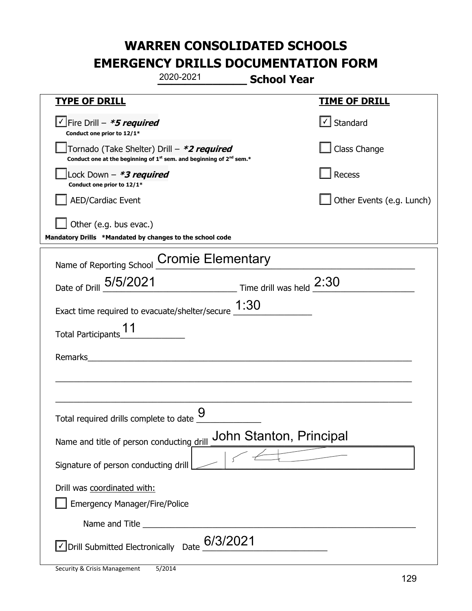|                                                                                                                                           | 2020-2021                | <b>School Year</b>      |                                                  |
|-------------------------------------------------------------------------------------------------------------------------------------------|--------------------------|-------------------------|--------------------------------------------------|
| <u>TYPE OF DRILL</u>                                                                                                                      |                          |                         | <b>TIME OF DRILL</b>                             |
| $\vee$ Fire Drill - *5 required<br>Conduct one prior to 12/1*                                                                             |                          |                         | $\vert\textcolor{red}{\checkmark}\vert$ Standard |
| Tornado (Take Shelter) Drill – *2 required<br>Conduct one at the beginning of 1 <sup>st</sup> sem. and beginning of 2 <sup>nd</sup> sem.* |                          |                         | Class Change                                     |
| Lock Down - *3 required<br>Conduct one prior to 12/1*                                                                                     |                          |                         | Recess                                           |
| <b>AED/Cardiac Event</b>                                                                                                                  |                          |                         | Other Events (e.g. Lunch)                        |
| Other (e.g. bus evac.)<br>Mandatory Drills *Mandated by changes to the school code                                                        |                          |                         |                                                  |
| Name of Reporting School                                                                                                                  | <b>Cromie Elementary</b> |                         |                                                  |
| Date of Drill 5/5/2021                                                                                                                    | Time drill was held 2:30 |                         |                                                  |
| Exact time required to evacuate/shelter/secure $\underline{\hspace{1em}1:}30$                                                             |                          |                         |                                                  |
| <b>Total Participants</b>                                                                                                                 |                          |                         |                                                  |
| Remarks                                                                                                                                   |                          |                         |                                                  |
|                                                                                                                                           |                          |                         |                                                  |
| Total required drills complete to date <u>Y</u>                                                                                           | g                        |                         |                                                  |
| Name and title of person conducting drill                                                                                                 |                          | John Stanton, Principal |                                                  |
| Signature of person conducting drill                                                                                                      |                          | $\sim$ $\sim$           |                                                  |
| Drill was coordinated with:<br><b>Emergency Manager/Fire/Police</b>                                                                       |                          |                         |                                                  |
|                                                                                                                                           |                          |                         |                                                  |
| √ Drill Submitted Electronically Date                                                                                                     | 6/3/2021                 |                         |                                                  |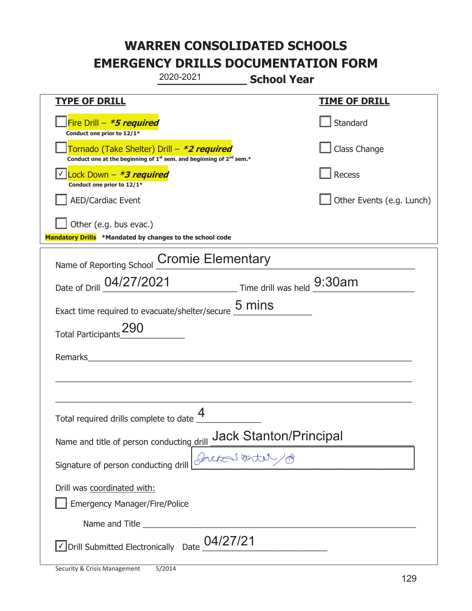|                                                                                                                                           | 2020-2021 | <b>School Year</b>                                             |                           |
|-------------------------------------------------------------------------------------------------------------------------------------------|-----------|----------------------------------------------------------------|---------------------------|
| <b>TYPE OF DRILL</b>                                                                                                                      |           |                                                                | <b>TIME OF DRILL</b>      |
| Fire Drill $-$ <i>*5 required</i><br>Conduct one prior to 12/1*                                                                           |           |                                                                | Standard                  |
| Tornado (Take Shelter) Drill – *2 required<br>Conduct one at the beginning of 1 <sup>st</sup> sem. and beginning of 2 <sup>nd</sup> sem.* |           |                                                                | Class Change              |
| Lock Down - *3 required<br>Conduct one prior to 12/1*                                                                                     |           |                                                                | Recess                    |
| <b>AED/Cardiac Event</b>                                                                                                                  |           |                                                                | Other Events (e.g. Lunch) |
| Other (e.g. bus evac.)<br>Mandatory Drills *Mandated by changes to the school code                                                        |           |                                                                |                           |
| Name of Reporting School Cromie Elementary                                                                                                |           |                                                                |                           |
| Date of Drill 04/27/2021 Time drill was held 9:30am                                                                                       |           |                                                                |                           |
| Exact time required to evacuate/shelter/secure 5 mins                                                                                     |           |                                                                |                           |
| <b>Total Participants</b>                                                                                                                 |           |                                                                |                           |
| Remarks                                                                                                                                   |           |                                                                |                           |
|                                                                                                                                           |           |                                                                |                           |
| Total required drills complete to date $\underline{\mathcal{4}}$                                                                          |           |                                                                |                           |
| Name and title of person conducting drill                                                                                                 |           | <u>drill_Jack Stanton/Principal</u><br>Access t <del>est</del> |                           |
| Signature of person conducting drill                                                                                                      |           |                                                                |                           |
| Drill was coordinated with:<br><b>Emergency Manager/Fire/Police</b>                                                                       |           |                                                                |                           |
|                                                                                                                                           |           |                                                                |                           |
| $\sqrt{2}$ Drill Submitted Electronically Date $04/27/21$                                                                                 |           |                                                                |                           |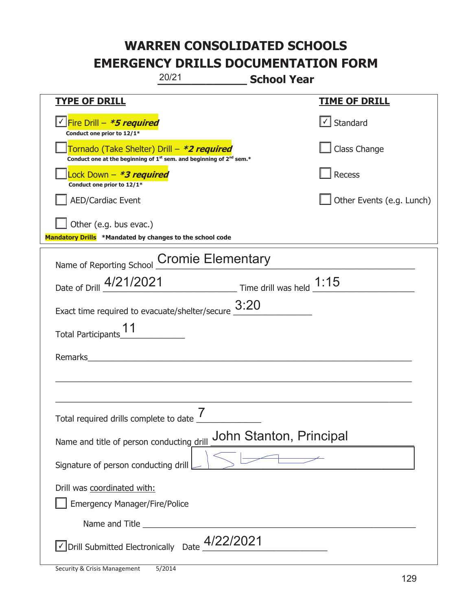|                                                                                    | 20/21<br><b>School Year</b>                                                                 |                           |
|------------------------------------------------------------------------------------|---------------------------------------------------------------------------------------------|---------------------------|
| <b>TYPE OF DRILL</b>                                                               |                                                                                             | <u>TIME OF DRILL</u>      |
| <u> √ Fire Drill – <i>*5 required</i></u><br>Conduct one prior to 12/1*            |                                                                                             | $\cup$ Standard           |
| Tornado (Take Shelter) Drill – *2 required                                         | Conduct one at the beginning of 1 <sup>st</sup> sem. and beginning of 2 <sup>nd</sup> sem.* | Class Change              |
| Lock Down - *3 required<br>Conduct one prior to 12/1*                              |                                                                                             | Recess                    |
| <b>AED/Cardiac Event</b>                                                           |                                                                                             | Other Events (e.g. Lunch) |
| Other (e.g. bus evac.)<br>Mandatory Drills *Mandated by changes to the school code |                                                                                             |                           |
|                                                                                    | Name of Reporting School Cromie Elementary                                                  |                           |
|                                                                                    | Date of Drill 4/21/2021 Time drill was held 1:15                                            |                           |
| Exact time required to evacuate/shelter/secure $3:20$                              |                                                                                             |                           |
| Total Participants_11                                                              |                                                                                             |                           |
| Remarks                                                                            |                                                                                             |                           |
|                                                                                    |                                                                                             |                           |
|                                                                                    |                                                                                             |                           |
| Total required drills complete to date                                             | $\overline{7}$                                                                              |                           |
| Name and title of person conducting drill                                          | John Stanton, Principal                                                                     |                           |
| Signature of person conducting drill                                               |                                                                                             |                           |
| Drill was coordinated with:                                                        |                                                                                             |                           |
| <b>Emergency Manager/Fire/Police</b>                                               |                                                                                             |                           |
|                                                                                    |                                                                                             |                           |
| √ Drill Submitted Electronically Date                                              | 4/22/2021                                                                                   |                           |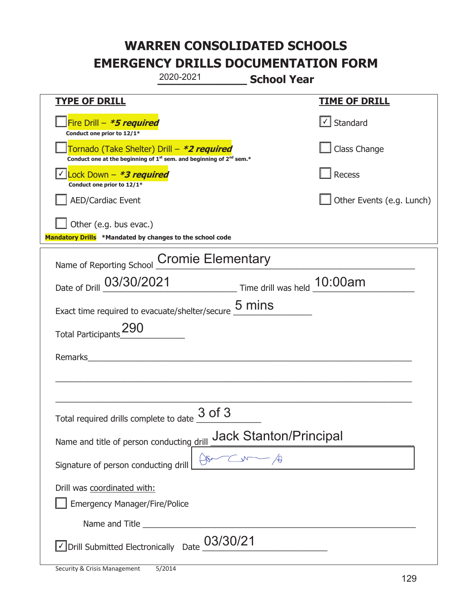|                                                                                                                                           | 2020-2021 | <b>School Year</b>            |                           |
|-------------------------------------------------------------------------------------------------------------------------------------------|-----------|-------------------------------|---------------------------|
| <b>TYPE OF DRILL</b>                                                                                                                      |           |                               | <u>TIME OF DRILL</u>      |
| Fire Drill - *5 required<br>Conduct one prior to 12/1*                                                                                    |           |                               | √ Standard                |
| Tornado (Take Shelter) Drill – *2 required<br>Conduct one at the beginning of 1 <sup>st</sup> sem. and beginning of 2 <sup>nd</sup> sem.* |           |                               | Class Change              |
| Lock Down - *3 required<br>Conduct one prior to 12/1*                                                                                     |           |                               | Recess                    |
| <b>AED/Cardiac Event</b>                                                                                                                  |           |                               | Other Events (e.g. Lunch) |
| Other (e.g. bus evac.)<br>Mandatory Drills *Mandated by changes to the school code                                                        |           |                               |                           |
| Name of Reporting School Cromie Elementary                                                                                                |           |                               |                           |
| Date of Drill 03/30/2021 Time drill was held 10:00am                                                                                      |           |                               |                           |
| Exact time required to evacuate/shelter/secure $\underline{5}$ mins                                                                       |           |                               |                           |
| Total Participants_290                                                                                                                    |           |                               |                           |
| Remarks                                                                                                                                   |           |                               |                           |
|                                                                                                                                           |           |                               |                           |
| Total required drills complete to date $\frac{3 \text{ of 3}}{2}$                                                                         |           |                               |                           |
| Name and title of person conducting drill                                                                                                 |           | <b>Jack Stanton/Principal</b> |                           |
| Signature of person conducting drill                                                                                                      |           | $\zeta$                       |                           |
| Drill was coordinated with:<br><b>Emergency Manager/Fire/Police</b>                                                                       |           |                               |                           |
|                                                                                                                                           |           |                               |                           |
| √ Drill Submitted Electronically Date                                                                                                     | 03/30/21  |                               |                           |

t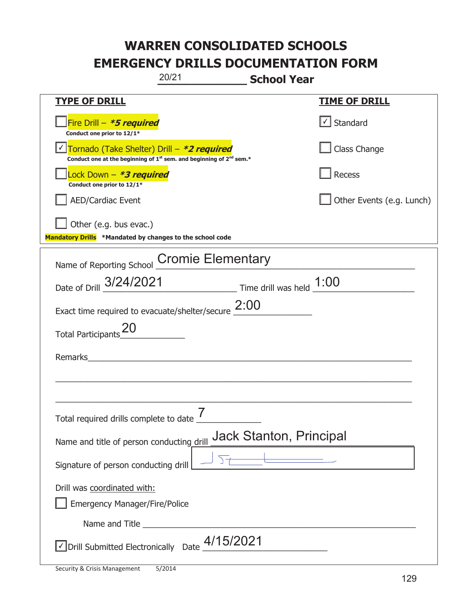|                                                                                    | 20/21                                                                           | <b>School Year</b>             |                           |
|------------------------------------------------------------------------------------|---------------------------------------------------------------------------------|--------------------------------|---------------------------|
| <b>TYPE OF DRILL</b>                                                               |                                                                                 |                                | <u>TIME OF DRILL</u>      |
| Fire Drill - *5 required<br>Conduct one prior to 12/1*                             |                                                                                 |                                | Standard                  |
| Tornado (Take Shelter) Drill – *2 required                                         | Conduct one at the beginning of $1^{st}$ sem. and beginning of $2^{nd}$ sem.*   |                                | Class Change              |
| Lock Down - *3 required<br>Conduct one prior to 12/1*                              |                                                                                 |                                | <b>Recess</b>             |
| <b>AED/Cardiac Event</b>                                                           |                                                                                 |                                | Other Events (e.g. Lunch) |
| Other (e.g. bus evac.)<br>Mandatory Drills *Mandated by changes to the school code |                                                                                 |                                |                           |
| Name of Reporting School                                                           | <b>Cromie Elementary</b>                                                        |                                |                           |
| Date of Drill 3/24/2021                                                            | $\frac{1:00}{\frac{1}{2}:00}$ Time drill was held $\frac{1:00}{\frac{1}{2}:00}$ |                                |                           |
| Exact time required to evacuate/shelter/secure $2:00$                              |                                                                                 |                                |                           |
| <b>Total Participants</b>                                                          |                                                                                 |                                |                           |
| Remarks                                                                            |                                                                                 |                                |                           |
|                                                                                    |                                                                                 |                                |                           |
| Total required drills complete to date _                                           | 7                                                                               |                                |                           |
| Name and title of person conducting drill                                          |                                                                                 | <b>Jack Stanton, Principal</b> |                           |
| Signature of person conducting drill                                               |                                                                                 |                                |                           |
| Drill was coordinated with:<br><b>Emergency Manager/Fire/Police</b>                |                                                                                 |                                |                           |
|                                                                                    |                                                                                 |                                |                           |
| √ Drill Submitted Electronically Date                                              | 4/15/2021                                                                       |                                |                           |

t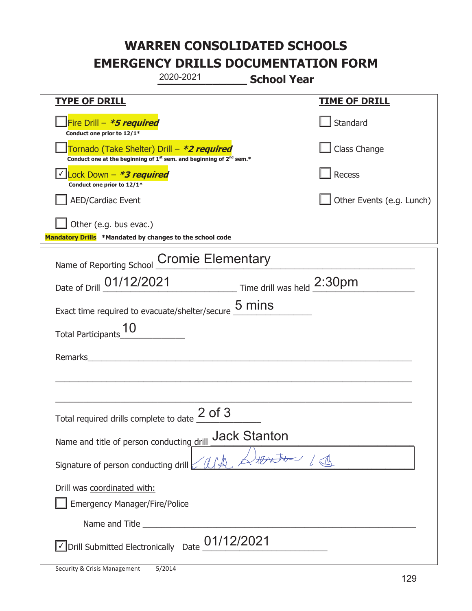|                                                                                    | 2020-2021                                                                                   | <b>School Year</b>  |                           |
|------------------------------------------------------------------------------------|---------------------------------------------------------------------------------------------|---------------------|---------------------------|
| <b>TYPE OF DRILL</b>                                                               |                                                                                             |                     | <b>TIME OF DRILL</b>      |
| Fire Drill - *5 required<br>Conduct one prior to 12/1*                             |                                                                                             |                     | Standard                  |
| Tornado (Take Shelter) Drill – *2 required                                         | Conduct one at the beginning of 1 <sup>st</sup> sem. and beginning of 2 <sup>nd</sup> sem.* |                     | Class Change              |
| √ Lock Down - <b>*3 required</b><br>Conduct one prior to 12/1*                     |                                                                                             |                     | Recess                    |
| <b>AED/Cardiac Event</b>                                                           |                                                                                             |                     | Other Events (e.g. Lunch) |
| Other (e.g. bus evac.)<br>Mandatory Drills *Mandated by changes to the school code |                                                                                             |                     |                           |
| Name of Reporting School Cromie Elementary                                         |                                                                                             |                     |                           |
| Date of Drill 01/12/2021 Time drill was held 2:30pm                                |                                                                                             |                     |                           |
| Exact time required to evacuate/shelter/secure $\underline{\mathsf{5}}$ mins       |                                                                                             |                     |                           |
| <b>Total Participants</b>                                                          |                                                                                             |                     |                           |
| Remarks                                                                            |                                                                                             |                     |                           |
|                                                                                    |                                                                                             |                     |                           |
| Total required drills complete to date $\frac{2 \text{ of 3}}{}$                   |                                                                                             |                     |                           |
| Name and title of person conducting drill                                          |                                                                                             | <b>Jack Stanton</b> |                           |
| Signature of person conducting drill                                               |                                                                                             |                     |                           |
| Drill was coordinated with:<br><b>Emergency Manager/Fire/Police</b>                |                                                                                             |                     |                           |
|                                                                                    |                                                                                             |                     |                           |
| √ Drill Submitted Electronically Date                                              | 01/12/2021                                                                                  |                     |                           |

ı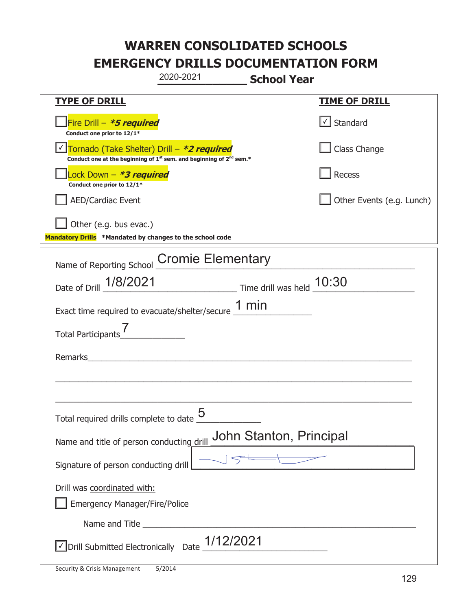|                                                                                    | 2020-2021                                                                                   | <b>School Year</b>      |                                   |
|------------------------------------------------------------------------------------|---------------------------------------------------------------------------------------------|-------------------------|-----------------------------------|
| <b>TYPE OF DRILL</b>                                                               |                                                                                             |                         | <b>TIME OF DRILL</b>              |
| Fire Drill - *5 required<br>Conduct one prior to 12/1*                             |                                                                                             |                         | $\lfloor \angle \rfloor$ Standard |
| Tornado (Take Shelter) Drill – *2 required                                         | Conduct one at the beginning of 1 <sup>st</sup> sem. and beginning of 2 <sup>nd</sup> sem.* |                         | Class Change                      |
| Lock Down - <b>*3 required</b><br>Conduct one prior to 12/1*                       |                                                                                             |                         | Recess                            |
| <b>AED/Cardiac Event</b>                                                           |                                                                                             |                         | Other Events (e.g. Lunch)         |
| Other (e.g. bus evac.)<br>Mandatory Drills *Mandated by changes to the school code |                                                                                             |                         |                                   |
| Name of Reporting School Cromie Elementary                                         |                                                                                             |                         |                                   |
| Date of Drill 1/8/2021                                                             | Time drill was held 10:30                                                                   |                         |                                   |
| Exact time required to evacuate/shelter/secure $1 \text{ min}$                     |                                                                                             |                         |                                   |
| Total Participants                                                                 |                                                                                             |                         |                                   |
| Remarks                                                                            |                                                                                             |                         |                                   |
|                                                                                    |                                                                                             |                         |                                   |
| Total required drills complete to date $\dfrac{5}{4}$                              |                                                                                             |                         |                                   |
| Name and title of person conducting drill                                          |                                                                                             | John Stanton, Principal |                                   |
| Signature of person conducting drill                                               |                                                                                             |                         |                                   |
| Drill was coordinated with:<br><b>Emergency Manager/Fire/Police</b>                |                                                                                             |                         |                                   |
|                                                                                    |                                                                                             |                         |                                   |
| $\vee$ Drill Submitted Electronically Date $\underline{\hspace{1em}1/12/2021}$     |                                                                                             |                         |                                   |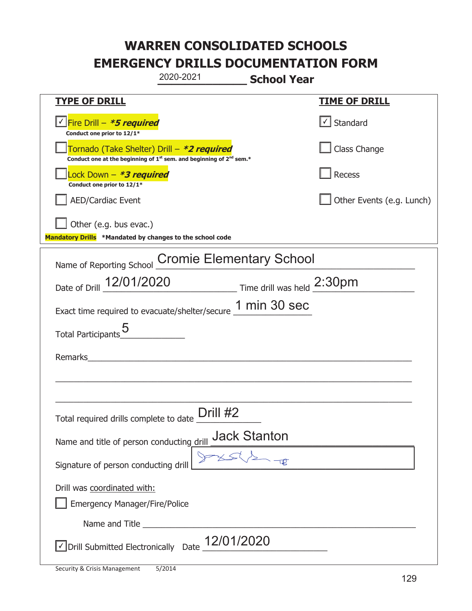|                                                                                    | 2020-2021                                                                                   | <b>School Year</b> |                           |
|------------------------------------------------------------------------------------|---------------------------------------------------------------------------------------------|--------------------|---------------------------|
| <b>TYPE OF DRILL</b>                                                               |                                                                                             |                    | <b>TIME OF DRILL</b>      |
| <u>√ Fire Drill – <i>*5 required</i></u><br>Conduct one prior to 12/1*             |                                                                                             |                    | $\cup$ Standard           |
| Tornado (Take Shelter) Drill – *2 required                                         | Conduct one at the beginning of 1 <sup>st</sup> sem. and beginning of 2 <sup>nd</sup> sem.* |                    | Class Change              |
| Lock Down - <b>*3 required</b><br>Conduct one prior to 12/1*                       |                                                                                             |                    | Recess                    |
| <b>AED/Cardiac Event</b>                                                           |                                                                                             |                    | Other Events (e.g. Lunch) |
| Other (e.g. bus evac.)<br>Mandatory Drills *Mandated by changes to the school code |                                                                                             |                    |                           |
| Name of Reporting School Cromie Elementary School                                  |                                                                                             |                    |                           |
| Date of Drill 12/01/2020 Time drill was held 2:30pm                                |                                                                                             |                    |                           |
| Exact time required to evacuate/shelter/secure 1 min 30 sec                        |                                                                                             |                    |                           |
| Total Participants                                                                 |                                                                                             |                    |                           |
| Remarks                                                                            | <u> 1980 - John Stein, Amerikaansk kanton (</u>                                             |                    |                           |
|                                                                                    |                                                                                             |                    |                           |
| Total required drills complete to date                                             | Drill #2                                                                                    |                    |                           |
| Name and title of person conducting drill _ Jack Stanton                           |                                                                                             |                    |                           |
| Signature of person conducting drill                                               |                                                                                             |                    |                           |
| Drill was coordinated with:<br><b>Emergency Manager/Fire/Police</b>                |                                                                                             |                    |                           |
|                                                                                    |                                                                                             |                    |                           |
| √ Drill Submitted Electronically Date                                              | 12/01/2020                                                                                  |                    |                           |

t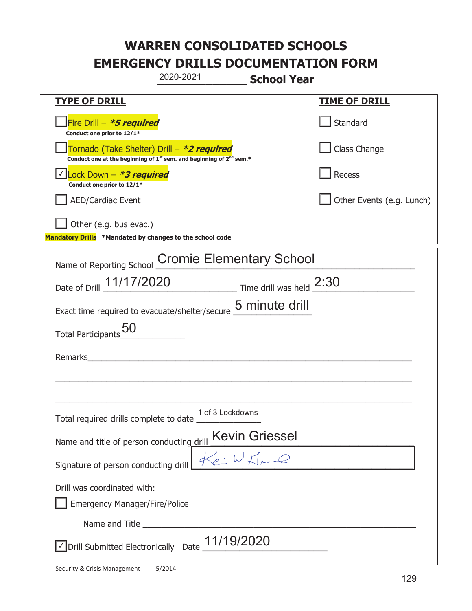|                                                                                    | 2020-2021                                                                                   | <b>School Year</b>        |
|------------------------------------------------------------------------------------|---------------------------------------------------------------------------------------------|---------------------------|
| <u>TYPE OF DRILL</u>                                                               |                                                                                             | <b>TIME OF DRILL</b>      |
| Fire Drill - *5 required<br>Conduct one prior to 12/1*                             |                                                                                             | Standard                  |
| Tornado (Take Shelter) Drill – *2 required                                         | Conduct one at the beginning of 1 <sup>st</sup> sem. and beginning of 2 <sup>nd</sup> sem.* | Class Change              |
| Lock Down - <b>*3 required</b><br>Conduct one prior to 12/1*                       |                                                                                             | Recess                    |
| <b>AED/Cardiac Event</b>                                                           |                                                                                             | Other Events (e.g. Lunch) |
| Other (e.g. bus evac.)<br>Mandatory Drills *Mandated by changes to the school code |                                                                                             |                           |
| Name of Reporting School                                                           | <b>Cromie Elementary School</b>                                                             |                           |
|                                                                                    | Date of Drill 11/17/2020 Time drill was held 2:30                                           |                           |
|                                                                                    | Exact time required to evacuate/shelter/secure $\frac{5}{2}$ minute drill                   |                           |
| <b>Total Participants</b>                                                          |                                                                                             |                           |
| Remarks                                                                            |                                                                                             |                           |
|                                                                                    |                                                                                             |                           |
| Total required drills complete to date                                             | 1 of 3 Lockdowns                                                                            |                           |
| Name and title of person conducting drill                                          | <b>Kevin Griessel</b>                                                                       |                           |
| Signature of person conducting drill                                               |                                                                                             |                           |
| Drill was coordinated with:<br><b>Emergency Manager/Fire/Police</b>                |                                                                                             |                           |
|                                                                                    |                                                                                             |                           |
|                                                                                    | $\vee$ Drill Submitted Electronically Date $\underline{\hspace{1em}11/19/2020}$             |                           |

T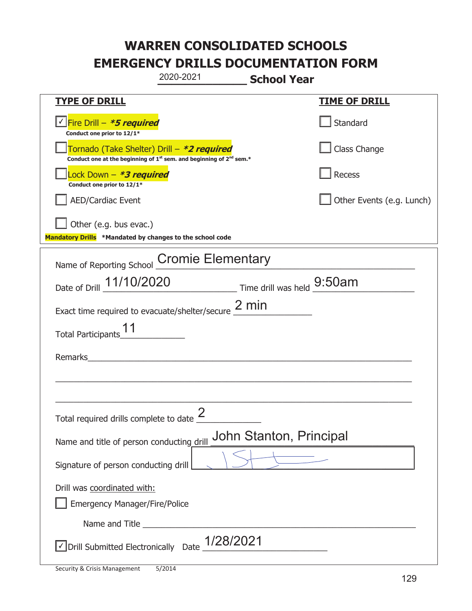|                                                                                    | 2020-2021                                                                                   | <b>School Year</b>      |                           |
|------------------------------------------------------------------------------------|---------------------------------------------------------------------------------------------|-------------------------|---------------------------|
| <u>TYPE OF DRILL</u>                                                               |                                                                                             |                         | <b>TIME OF DRILL</b>      |
| √Fire Drill – <b>*5 required</b><br>Conduct one prior to 12/1*                     |                                                                                             |                         | Standard                  |
| Tornado (Take Shelter) Drill – *2 required                                         | Conduct one at the beginning of 1 <sup>st</sup> sem. and beginning of 2 <sup>nd</sup> sem.* |                         | Class Change              |
| Lock Down - *3 required<br>Conduct one prior to 12/1*                              |                                                                                             |                         | Recess                    |
| <b>AED/Cardiac Event</b>                                                           |                                                                                             |                         | Other Events (e.g. Lunch) |
| Other (e.g. bus evac.)<br>Mandatory Drills *Mandated by changes to the school code |                                                                                             |                         |                           |
| Name of Reporting School Cromie Elementary                                         |                                                                                             |                         |                           |
| Date of Drill 11/10/2020                                                           | $\frac{1}{2}$ Time drill was held $\frac{9:50am}{2}$                                        |                         |                           |
| Exact time required to evacuate/shelter/secure $\frac{2 \text{ min}}{2}$           |                                                                                             |                         |                           |
| <b>Total Participants</b>                                                          |                                                                                             |                         |                           |
| <b>Remarks</b>                                                                     |                                                                                             |                         |                           |
|                                                                                    |                                                                                             |                         |                           |
| Total required drills complete to date $\angle$                                    | 2                                                                                           |                         |                           |
| Name and title of person conducting drill                                          |                                                                                             | John Stanton, Principal |                           |
| Signature of person conducting drill                                               |                                                                                             |                         |                           |
| Drill was coordinated with:<br><b>Emergency Manager/Fire/Police</b>                |                                                                                             |                         |                           |
|                                                                                    |                                                                                             |                         |                           |
| √ Drill Submitted Electronically Date                                              | 1/28/2021                                                                                   |                         |                           |